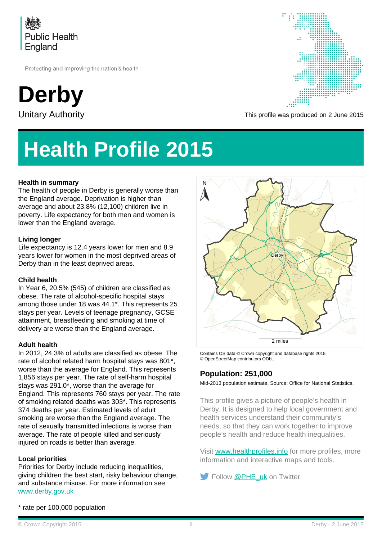

Protecting and improving the nation's health

# **Derby**



Unitary Authority **This profile was produced on 2 June 2015** 

## **Health Profile 2015**

### **Health in summary**

The health of people in Derby is generally worse than the England average. Deprivation is higher than average and about 23.8% (12,100) children live in poverty. Life expectancy for both men and women is lower than the England average.

#### **Living longer**

Life expectancy is 12.4 years lower for men and 8.9 years lower for women in the most deprived areas of Derby than in the least deprived areas.

#### **Child health**

In Year 6, 20.5% (545) of children are classified as obese. The rate of alcohol-specific hospital stays among those under 18 was 44.1\*. This represents 25 stays per year. Levels of teenage pregnancy, GCSE attainment, breastfeeding and smoking at time of delivery are worse than the England average.

#### **Adult health**

In 2012, 24.3% of adults are classified as obese. The rate of alcohol related harm hospital stays was 801\*, worse than the average for England. This represents 1,856 stays per year. The rate of self-harm hospital stays was 291.0\*, worse than the average for England. This represents 760 stays per year. The rate of smoking related deaths was 303\*. This represents 374 deaths per year. Estimated levels of adult smoking are worse than the England average. The rate of sexually transmitted infections is worse than average. The rate of people killed and seriously injured on roads is better than average.

#### **Local priorities**

Priorities for Derby include reducing inequalities, giving children the best start, risky behaviour change, and substance misuse. For more information see [www.derby.gov.uk](http://www.derby.gov.uk)



Contains OS data © Crown copyright and database rights 2015 © OpenStreetMap contributors ODbL

## **Population: 251,000**

Mid-2013 population estimate. Source: Office for National Statistics.

This profile gives a picture of people's health in Derby. It is designed to help local government and health services understand their community's needs, so that they can work together to improve people's health and reduce health inequalities.

Visit [www.healthprofiles.info](http://www.healthprofiles.info) for more profiles, more information and interactive maps and tools.

Follow [@PHE\\_uk](http://www.twitter.com/PHE_uk) on Twitter

\* rate per 100,000 population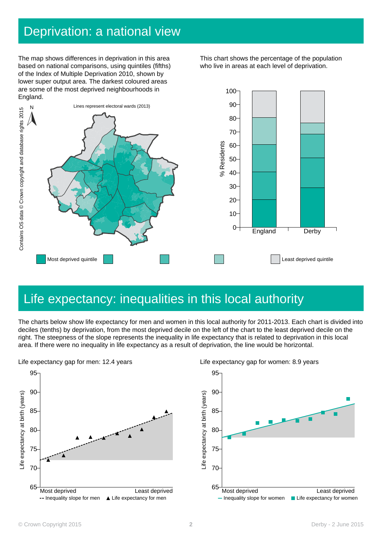## Deprivation: a national view

The map shows differences in deprivation in this area based on national comparisons, using quintiles (fifths) of the Index of Multiple Deprivation 2010, shown by lower super output area. The darkest coloured areas are some of the most deprived neighbourhoods in England.

This chart shows the percentage of the population who live in areas at each level of deprivation.



## Life expectancy: inequalities in this local authority

The charts below show life expectancy for men and women in this local authority for 2011-2013. Each chart is divided into deciles (tenths) by deprivation, from the most deprived decile on the left of the chart to the least deprived decile on the right. The steepness of the slope represents the inequality in life expectancy that is related to deprivation in this local





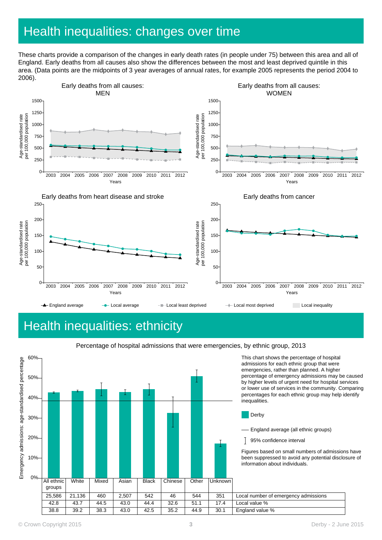## Health inequalities: changes over time

These charts provide a comparison of the changes in early death rates (in people under 75) between this area and all of England. Early deaths from all causes also show the differences between the most and least deprived quintile in this area. (Data points are the midpoints of 3 year averages of annual rates, for example 2005 represents the period 2004 to 2006).



## Health inequalities: ethnicity



Percentage of hospital admissions that were emergencies, by ethnic group, 2013

This chart shows the percentage of hospital admissions for each ethnic group that were emergencies, rather than planned. A higher percentage of emergency admissions may be caused by higher levels of urgent need for hospital services or lower use of services in the community. Comparing percentages for each ethnic group may help identify inequalities.

#### Derby

England average (all ethnic groups)

95% confidence interval

Figures based on small numbers of admissions have been suppressed to avoid any potential disclosure of information about individuals.

38.8